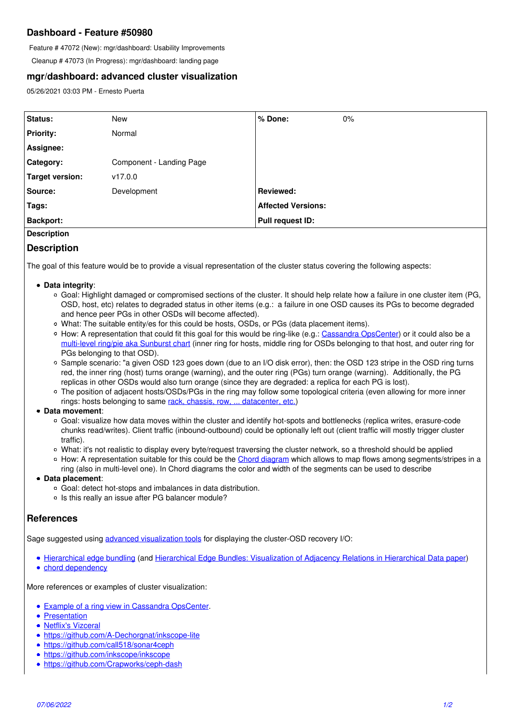# **Dashboard - Feature #50980**

Feature # 47072 (New): mgr/dashboard: Usability Improvements

Cleanup # 47073 (In Progress): mgr/dashboard: landing page

## **mgr/dashboard: advanced cluster visualization**

05/26/2021 03:03 PM - Ernesto Puerta

| Status:                | <b>New</b>               | % Done:                   | $0\%$ |
|------------------------|--------------------------|---------------------------|-------|
| <b>Priority:</b>       | Normal                   |                           |       |
| Assignee:              |                          |                           |       |
| Category:              | Component - Landing Page |                           |       |
| <b>Target version:</b> | v17.0.0                  |                           |       |
| Source:                | Development              | Reviewed:                 |       |
| Tags:                  |                          | <b>Affected Versions:</b> |       |
| <b>Backport:</b>       |                          | Pull request ID:          |       |
| <b>Description</b>     |                          |                           |       |

### **Description**

The goal of this feature would be to provide a visual representation of the cluster status covering the following aspects:

- **Data integrity**:
	- Goal: Highlight damaged or compromised sections of the cluster. It should help relate how a failure in one cluster item (PG, OSD, host, etc) relates to degraded status in other items (e.g.: a failure in one OSD causes its PGs to become degraded and hence peer PGs in other OSDs will become affected).
	- What: The suitable entity/es for this could be hosts, OSDs, or PGs (data placement items).
	- How: A representation that could fit this goal for this would be ring-like (e.g.: [Cassandra OpsCenter](https://docs.datastax.com/en/opscenter/6.1/opsc/online_help/opscNodeAdminRing.html)) or it could also be a [multi-level ring/pie aka Sunburst chart](https://en.wikipedia.org/wiki/Pie_chart#Ring) (inner ring for hosts, middle ring for OSDs belonging to that host, and outer ring for PGs belonging to that OSD).
	- $\circ$  Sample scenario: "a given OSD 123 goes down (due to an I/O disk error), then: the OSD 123 stripe in the OSD ring turns red, the inner ring (host) turns orange (warning), and the outer ring (PGs) turn orange (warning). Additionally, the PG replicas in other OSDs would also turn orange (since they are degraded: a replica for each PG is lost).
	- The position of adjacent hosts/OSDs/PGs in the ring may follow some topological criteria (even allowing for more inner rings: hosts belonging to same [rack, chassis, row, ... datacenter, etc.](https://docs.ceph.com/en/latest/rados/operations/crush-map/#types-and-buckets))
- **Data movement**:
	- Goal: visualize how data moves within the cluster and identify hot-spots and bottlenecks (replica writes, erasure-code chunks read/writes). Client traffic (inbound-outbound) could be optionally left out (client traffic will mostly trigger cluster traffic).
	- What: it's not realistic to display every byte/request traversing the cluster network, so a threshold should be applied
	- How: A representation suitable for this could be the [Chord diagram](https://observablehq.com/@d3/chord-dependency-diagram) which allows to map flows among segments/stripes in a
- ring (also in multi-level one). In Chord diagrams the color and width of the segments can be used to describe **Data placement**:
	- Goal: detect hot-stops and imbalances in data distribution.
	- $\circ$  Is this really an issue after PG balancer module?

# **References**

Sage suggested using [advanced visualization tools](https://www.d3-graph-gallery.com/bundle) for displaying the cluster-OSD recovery I/O:

[Hierarchical edge bundling](https://observablehq.com/@d3/hierarchical-edge-bundling) (and [Hierarchical Edge Bundles: Visualization of Adjacency Relations in Hierarchical Data paper\)](https://aviz.fr/wiki/uploads/Teaching2014/bundles_infovis.pdf)

• [chord dependency](https://observablehq.com/@d3/chord-dependency-diagram)

More references or examples of cluster visualization:

- [Example of a ring view in Cassandra OpsCenter](https://docs.datastax.com/en/opscenter/6.1/opsc/online_help/opscNodeAdminRing.html).
- [Presentation](https://pages.cs.wisc.edu/~remzi/Classes/739/Fall2018/Projects/Final/wyuan.pptx)
- [Netflix's Vizceral](https://netflixtechblog.com/vizceral-open-source-acc0c32113fe)
- <https://github.com/A-Dechorgnat/inkscope-lite>
- <https://github.com/call518/sonar4ceph>
- <https://github.com/inkscope/inkscope>
- <https://github.com/Crapworks/ceph-dash>